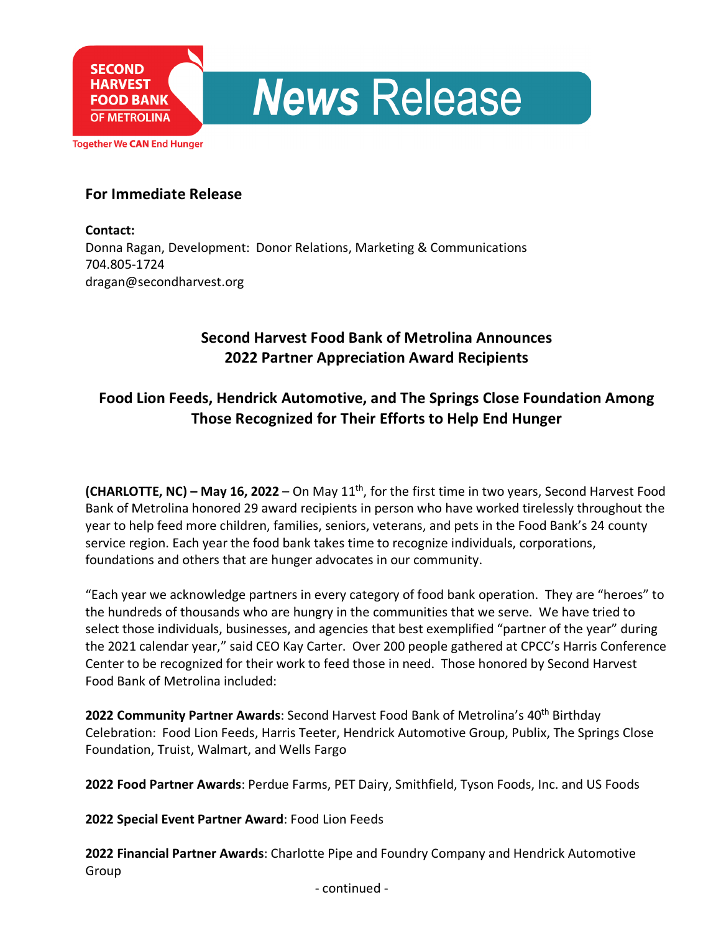**Together We CAN End Hunger** 

**SECOND** 

**HARVEST FOOD BANK OF METROLINA** 

### **For Immediate Release**

**Contact:** Donna Ragan, Development: Donor Relations, Marketing & Communications 704.805-1724 dragan@secondharvest.org

## **Second Harvest Food Bank of Metrolina Announces 2022 Partner Appreciation Award Recipients**

**News Release** 

# **Food Lion Feeds, Hendrick Automotive, and The Springs Close Foundation Among Those Recognized for Their Efforts to Help End Hunger**

**(CHARLOTTE, NC) – May 16, 2022** – On May 11th, for the first time in two years, Second Harvest Food Bank of Metrolina honored 29 award recipients in person who have worked tirelessly throughout the year to help feed more children, families, seniors, veterans, and pets in the Food Bank's 24 county service region. Each year the food bank takes time to recognize individuals, corporations, foundations and others that are hunger advocates in our community.

"Each year we acknowledge partners in every category of food bank operation. They are "heroes" to the hundreds of thousands who are hungry in the communities that we serve. We have tried to select those individuals, businesses, and agencies that best exemplified "partner of the year" during the 2021 calendar year," said CEO Kay Carter. Over 200 people gathered at CPCC's Harris Conference Center to be recognized for their work to feed those in need. Those honored by Second Harvest Food Bank of Metrolina included:

**2022 Community Partner Awards**: Second Harvest Food Bank of Metrolina's 40th Birthday Celebration: Food Lion Feeds, Harris Teeter, Hendrick Automotive Group, Publix, The Springs Close Foundation, Truist, Walmart, and Wells Fargo

**2022 Food Partner Awards**: Perdue Farms, PET Dairy, Smithfield, Tyson Foods, Inc. and US Foods

**2022 Special Event Partner Award**: Food Lion Feeds

**2022 Financial Partner Awards**: Charlotte Pipe and Foundry Company and Hendrick Automotive Group